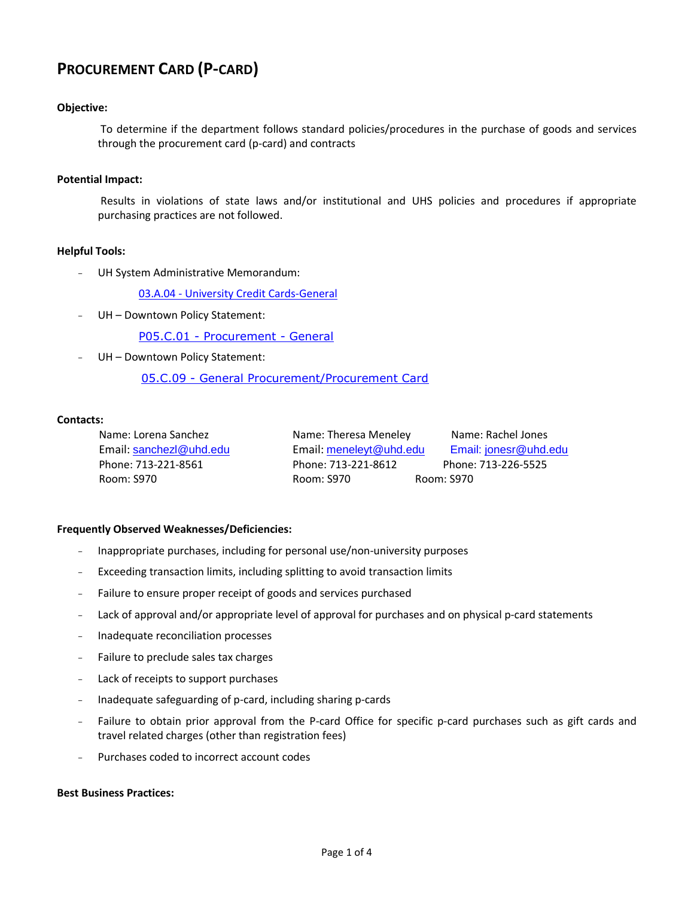# **PROCUREMENT CARD (P-CARD)**

## **Objective:**

To determine if the department follows standard policies/procedures in the purchase of goods and services through the procurement card (p-card) and contracts

#### **Potential Impact:**

Results in violations of state laws and/or institutional and UHS policies and procedures if appropriate purchasing practices are not followed.

#### **Helpful Tools:**

UH System Administrative Memorandum:

03.A.04 - [University Credit Cards-General](http://www.uhsa.uh.edu/sam/3FicsalAffairs/3A4.pdf)

UH - Downtown Policy Statement:

P05.C.01 - [Procurement -](http://www.uhd.edu/about/hr/PS05C01.pdf) General

UH - Downtown Policy Statement:

05.C.09 - [General Procurement/Procurement Card](http://www.uhd.edu/about/hr/PS05C09.pdf)

#### **Contacts:**

Name: Lorena Sanchez Email: [sanchezl@uhd.edu](http://global.dt.uh.edu:8080/feedback.asp?tofield=sanchezl@uhd.edu) Phone: 713-221-8561 Room: S970

Name: Theresa Meneley Name: Rachel Jones Email: [meneleyt@uhd.edu](http://global.dt.uh.edu:8080/feedback.asp?tofield=meneleyt@uhd.edu) Email: jonesr@uhd.edu Phone: 713-221-8612 Phone: 713-226-5525 Room: S970 Room: S970

## **Frequently Observed Weaknesses/Deficiencies:**

- Inappropriate purchases, including for personal use/non-university purposes
- Exceeding transaction limits, including splitting to avoid transaction limits
- Failure to ensure proper receipt of goods and services purchased
- Lack of approval and/or appropriate level of approval for purchases and on physical p-card statements
- Inadequate reconciliation processes
- Failure to preclude sales tax charges
- Lack of receipts to support purchases
- Inadequate safeguarding of p-card, including sharing p-cards
- Failure to obtain prior approval from the P-card Office for specific p-card purchases such as gift cards and travel related charges (other than registration fees)
- Purchases coded to incorrect account codes

#### **Best Business Practices:**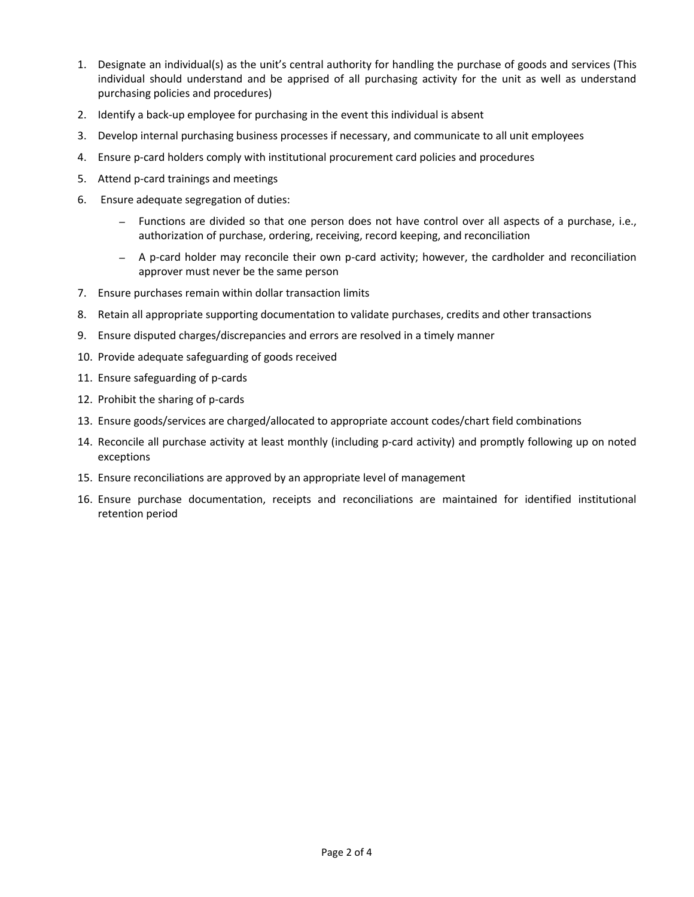- 1. Designate an individual(s) as the unit's central authority for handling the purchase of goods and services (This individual should understand and be apprised of all purchasing activity for the unit as well as understand purchasing policies and procedures)
- 2. Identify a back-up employee for purchasing in the event this individual is absent
- 3. Develop internal purchasing business processes if necessary, and communicate to all unit employees
- 4. Ensure p-card holders comply with institutional procurement card policies and procedures
- 5. Attend p-card trainings and meetings
- 6. Ensure adequate segregation of duties:
	- *–* Functions are divided so that one person does not have control over all aspects of a purchase, i.e., authorization of purchase, ordering, receiving, record keeping, and reconciliation
	- *–* A p-card holder may reconcile their own p-card activity; however, the cardholder and reconciliation approver must never be the same person
- 7. Ensure purchases remain within dollar transaction limits
- 8. Retain all appropriate supporting documentation to validate purchases, credits and other transactions
- 9. Ensure disputed charges/discrepancies and errors are resolved in a timely manner
- 10. Provide adequate safeguarding of goods received
- 11. Ensure safeguarding of p-cards
- 12. Prohibit the sharing of p-cards
- 13. Ensure goods/services are charged/allocated to appropriate account codes/chart field combinations
- 14. Reconcile all purchase activity at least monthly (including p-card activity) and promptly following up on noted exceptions
- 15. Ensure reconciliations are approved by an appropriate level of management
- 16. Ensure purchase documentation, receipts and reconciliations are maintained for identified institutional retention period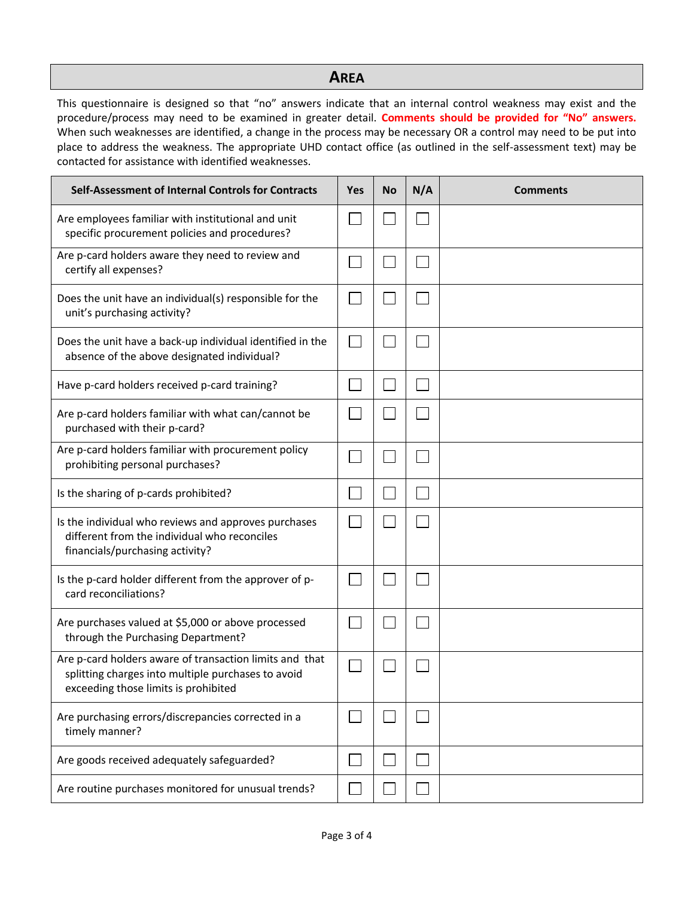# **AREA**

This questionnaire is designed so that "no" answers indicate that an internal control weakness may exist and the procedure/process may need to be examined in greater detail. **Comments should be provided for "No" answers.**  When such weaknesses are identified, a change in the process may be necessary OR a control may need to be put into place to address the weakness. The appropriate UHD contact office (as outlined in the self-assessment text) may be contacted for assistance with identified weaknesses.

| Self-Assessment of Internal Controls for Contracts                                                                                                    | <b>Yes</b> | <b>No</b> | N/A | <b>Comments</b> |
|-------------------------------------------------------------------------------------------------------------------------------------------------------|------------|-----------|-----|-----------------|
| Are employees familiar with institutional and unit<br>specific procurement policies and procedures?                                                   |            |           |     |                 |
| Are p-card holders aware they need to review and<br>certify all expenses?                                                                             |            |           |     |                 |
| Does the unit have an individual(s) responsible for the<br>unit's purchasing activity?                                                                |            |           |     |                 |
| Does the unit have a back-up individual identified in the<br>absence of the above designated individual?                                              |            |           |     |                 |
| Have p-card holders received p-card training?                                                                                                         |            |           |     |                 |
| Are p-card holders familiar with what can/cannot be<br>purchased with their p-card?                                                                   |            |           |     |                 |
| Are p-card holders familiar with procurement policy<br>prohibiting personal purchases?                                                                |            |           |     |                 |
| Is the sharing of p-cards prohibited?                                                                                                                 |            |           |     |                 |
| Is the individual who reviews and approves purchases<br>different from the individual who reconciles<br>financials/purchasing activity?               |            |           |     |                 |
| Is the p-card holder different from the approver of p-<br>card reconciliations?                                                                       |            |           |     |                 |
| Are purchases valued at \$5,000 or above processed<br>through the Purchasing Department?                                                              |            |           |     |                 |
| Are p-card holders aware of transaction limits and that<br>splitting charges into multiple purchases to avoid<br>exceeding those limits is prohibited |            |           |     |                 |
| Are purchasing errors/discrepancies corrected in a<br>timely manner?                                                                                  |            |           |     |                 |
| Are goods received adequately safeguarded?                                                                                                            |            |           |     |                 |
| Are routine purchases monitored for unusual trends?                                                                                                   |            |           |     |                 |